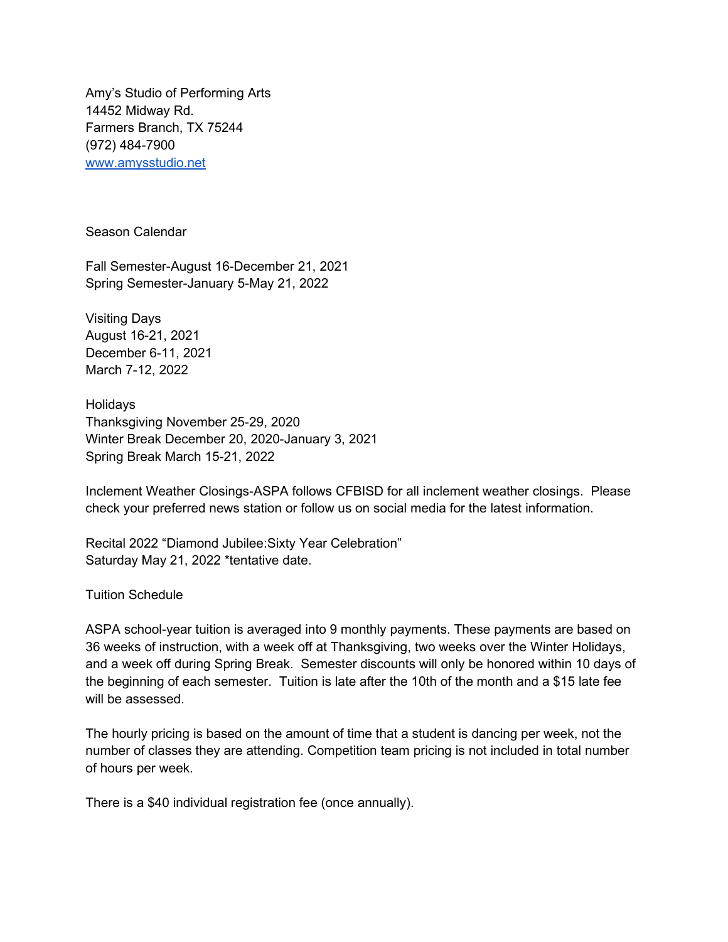Amy's Studio of Performing Arts 14452 Midway Rd. Farmers Branch, TX 75244 (972) 484-7900 [www.amysstudio.net](http://www.amysstudio.net/)

Season Calendar

Fall Semester-August 16-December 21, 2021 Spring Semester-January 5-May 21, 2022

Visiting Days August 16-21, 2021 December 6-11, 2021 March 7-12, 2022

Holidays Thanksgiving November 25-29, 2020 Winter Break December 20, 2020-January 3, 2021 Spring Break March 15-21, 2022

Inclement Weather Closings-ASPA follows CFBISD for all inclement weather closings. Please check your preferred news station or follow us on social media for the latest information.

Recital 2022 "Diamond Jubilee:Sixty Year Celebration" Saturday May 21, 2022 \*tentative date.

Tuition Schedule

ASPA school-year tuition is averaged into 9 monthly payments. These payments are based on 36 weeks of instruction, with a week off at Thanksgiving, two weeks over the Winter Holidays, and a week off during Spring Break. Semester discounts will only be honored within 10 days of the beginning of each semester. Tuition is late after the 10th of the month and a \$15 late fee will be assessed.

The hourly pricing is based on the amount of time that a student is dancing per week, not the number of classes they are attending. Competition team pricing is not included in total number of hours per week.

There is a \$40 individual registration fee (once annually).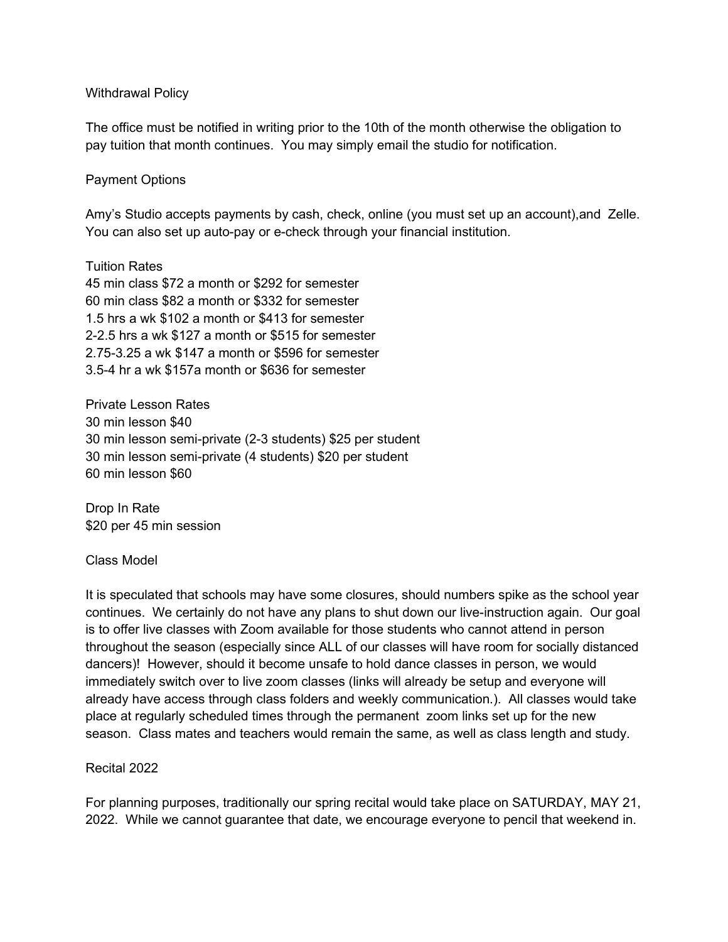#### Withdrawal Policy

The office must be notified in writing prior to the 10th of the month otherwise the obligation to pay tuition that month continues. You may simply email the studio for notification.

### Payment Options

Amy's Studio accepts payments by cash, check, online (you must set up an account),and Zelle. You can also set up auto-pay or e-check through your financial institution.

Tuition Rates 45 min class \$72 a month or \$292 for semester 60 min class \$82 a month or \$332 for semester 1.5 hrs a wk \$102 a month or \$413 for semester 2-2.5 hrs a wk \$127 a month or \$515 for semester 2.75-3.25 a wk \$147 a month or \$596 for semester 3.5-4 hr a wk \$157a month or \$636 for semester

Private Lesson Rates 30 min lesson \$40 30 min lesson semi-private (2-3 students) \$25 per student 30 min lesson semi-private (4 students) \$20 per student 60 min lesson \$60

Drop In Rate \$20 per 45 min session

#### Class Model

It is speculated that schools may have some closures, should numbers spike as the school year continues. We certainly do not have any plans to shut down our live-instruction again. Our goal is to offer live classes with Zoom available for those students who cannot attend in person throughout the season (especially since ALL of our classes will have room for socially distanced dancers)! However, should it become unsafe to hold dance classes in person, we would immediately switch over to live zoom classes (links will already be setup and everyone will already have access through class folders and weekly communication.). All classes would take place at regularly scheduled times through the permanent zoom links set up for the new season. Class mates and teachers would remain the same, as well as class length and study.

#### Recital 2022

For planning purposes, traditionally our spring recital would take place on SATURDAY, MAY 21, 2022. While we cannot guarantee that date, we encourage everyone to pencil that weekend in.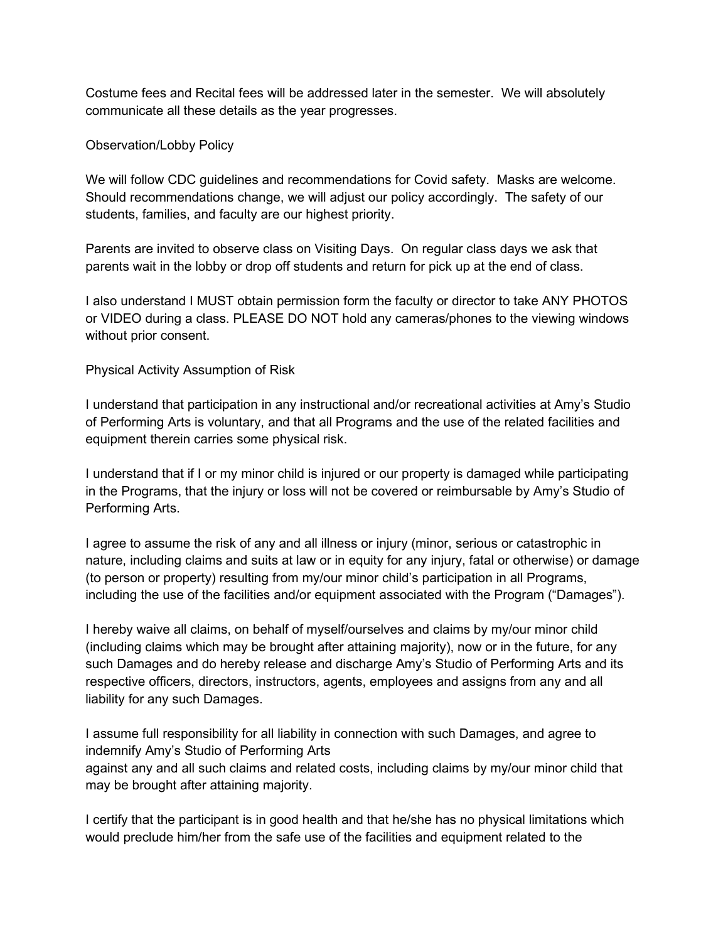Costume fees and Recital fees will be addressed later in the semester. We will absolutely communicate all these details as the year progresses.

## Observation/Lobby Policy

We will follow CDC guidelines and recommendations for Covid safety. Masks are welcome. Should recommendations change, we will adjust our policy accordingly. The safety of our students, families, and faculty are our highest priority.

Parents are invited to observe class on Visiting Days. On regular class days we ask that parents wait in the lobby or drop off students and return for pick up at the end of class.

I also understand I MUST obtain permission form the faculty or director to take ANY PHOTOS or VIDEO during a class. PLEASE DO NOT hold any cameras/phones to the viewing windows without prior consent.

## Physical Activity Assumption of Risk

I understand that participation in any instructional and/or recreational activities at Amy's Studio of Performing Arts is voluntary, and that all Programs and the use of the related facilities and equipment therein carries some physical risk.

I understand that if I or my minor child is injured or our property is damaged while participating in the Programs, that the injury or loss will not be covered or reimbursable by Amy's Studio of Performing Arts.

I agree to assume the risk of any and all illness or injury (minor, serious or catastrophic in nature, including claims and suits at law or in equity for any injury, fatal or otherwise) or damage (to person or property) resulting from my/our minor child's participation in all Programs, including the use of the facilities and/or equipment associated with the Program ("Damages").

I hereby waive all claims, on behalf of myself/ourselves and claims by my/our minor child (including claims which may be brought after attaining majority), now or in the future, for any such Damages and do hereby release and discharge Amy's Studio of Performing Arts and its respective officers, directors, instructors, agents, employees and assigns from any and all liability for any such Damages.

I assume full responsibility for all liability in connection with such Damages, and agree to indemnify Amy's Studio of Performing Arts against any and all such claims and related costs, including claims by my/our minor child that may be brought after attaining majority.

I certify that the participant is in good health and that he/she has no physical limitations which would preclude him/her from the safe use of the facilities and equipment related to the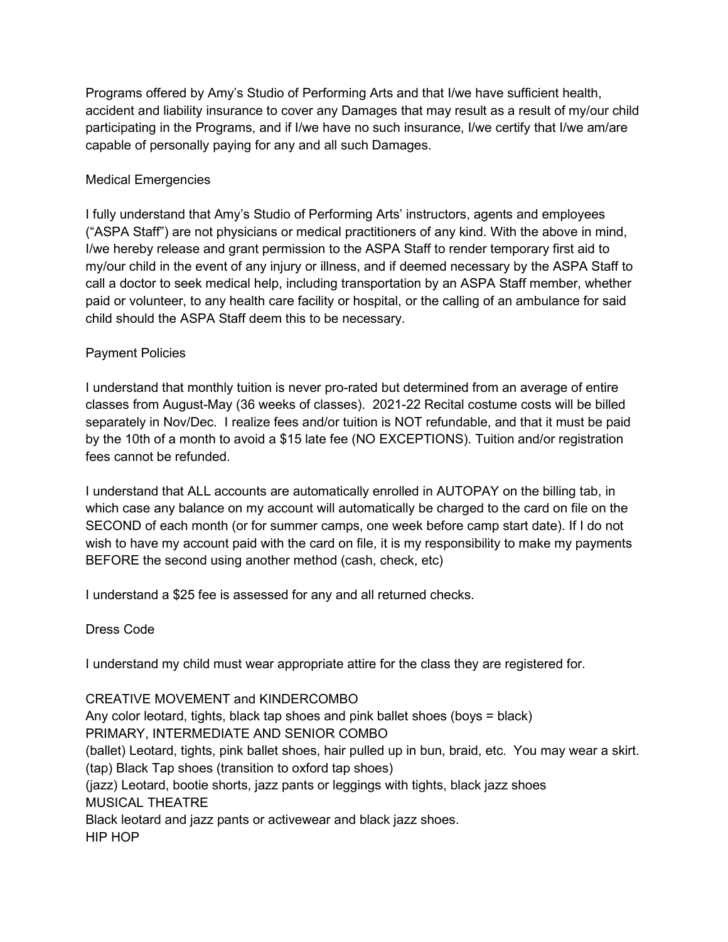Programs offered by Amy's Studio of Performing Arts and that I/we have sufficient health, accident and liability insurance to cover any Damages that may result as a result of my/our child participating in the Programs, and if I/we have no such insurance, I/we certify that I/we am/are capable of personally paying for any and all such Damages.

# Medical Emergencies

I fully understand that Amy's Studio of Performing Arts' instructors, agents and employees ("ASPA Staff") are not physicians or medical practitioners of any kind. With the above in mind, I/we hereby release and grant permission to the ASPA Staff to render temporary first aid to my/our child in the event of any injury or illness, and if deemed necessary by the ASPA Staff to call a doctor to seek medical help, including transportation by an ASPA Staff member, whether paid or volunteer, to any health care facility or hospital, or the calling of an ambulance for said child should the ASPA Staff deem this to be necessary.

## Payment Policies

I understand that monthly tuition is never pro-rated but determined from an average of entire classes from August-May (36 weeks of classes). 2021-22 Recital costume costs will be billed separately in Nov/Dec. I realize fees and/or tuition is NOT refundable, and that it must be paid by the 10th of a month to avoid a \$15 late fee (NO EXCEPTIONS). Tuition and/or registration fees cannot be refunded.

I understand that ALL accounts are automatically enrolled in AUTOPAY on the billing tab, in which case any balance on my account will automatically be charged to the card on file on the SECOND of each month (or for summer camps, one week before camp start date). If I do not wish to have my account paid with the card on file, it is my responsibility to make my payments BEFORE the second using another method (cash, check, etc)

I understand a \$25 fee is assessed for any and all returned checks.

Dress Code

I understand my child must wear appropriate attire for the class they are registered for.

CREATIVE MOVEMENT and KINDERCOMBO Any color leotard, tights, black tap shoes and pink ballet shoes (boys = black) PRIMARY, INTERMEDIATE AND SENIOR COMBO (ballet) Leotard, tights, pink ballet shoes, hair pulled up in bun, braid, etc. You may wear a skirt. (tap) Black Tap shoes (transition to oxford tap shoes) (jazz) Leotard, bootie shorts, jazz pants or leggings with tights, black jazz shoes MUSICAL THEATRE Black leotard and jazz pants or activewear and black jazz shoes. HIP HOP